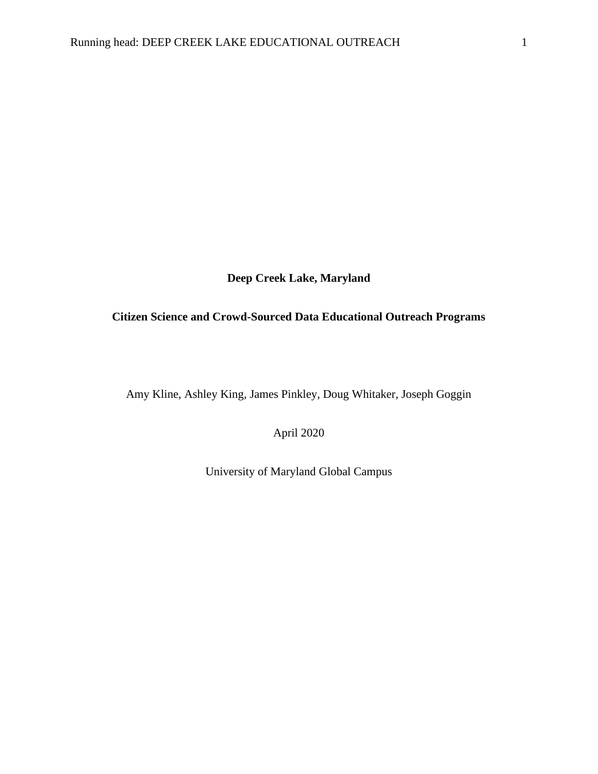**Deep Creek Lake, Maryland**

# **Citizen Science and Crowd-Sourced Data Educational Outreach Programs**

Amy Kline, Ashley King, James Pinkley, Doug Whitaker, Joseph Goggin

April 2020

University of Maryland Global Campus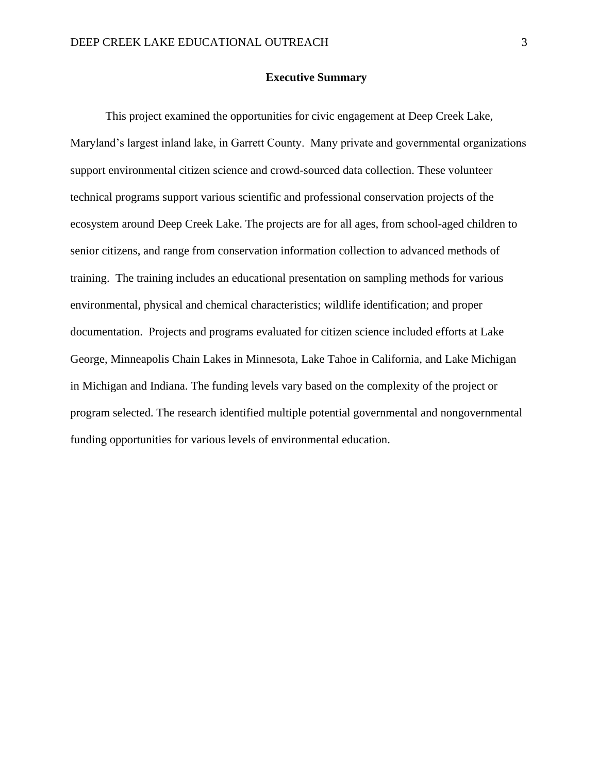#### **Executive Summary**

This project examined the opportunities for civic engagement at Deep Creek Lake, Maryland's largest inland lake, in Garrett County. Many private and governmental organizations support environmental citizen science and crowd-sourced data collection. These volunteer technical programs support various scientific and professional conservation projects of the ecosystem around Deep Creek Lake. The projects are for all ages, from school-aged children to senior citizens, and range from conservation information collection to advanced methods of training. The training includes an educational presentation on sampling methods for various environmental, physical and chemical characteristics; wildlife identification; and proper documentation. Projects and programs evaluated for citizen science included efforts at Lake George, Minneapolis Chain Lakes in Minnesota, Lake Tahoe in California, and Lake Michigan in Michigan and Indiana. The funding levels vary based on the complexity of the project or program selected. The research identified multiple potential governmental and nongovernmental funding opportunities for various levels of environmental education.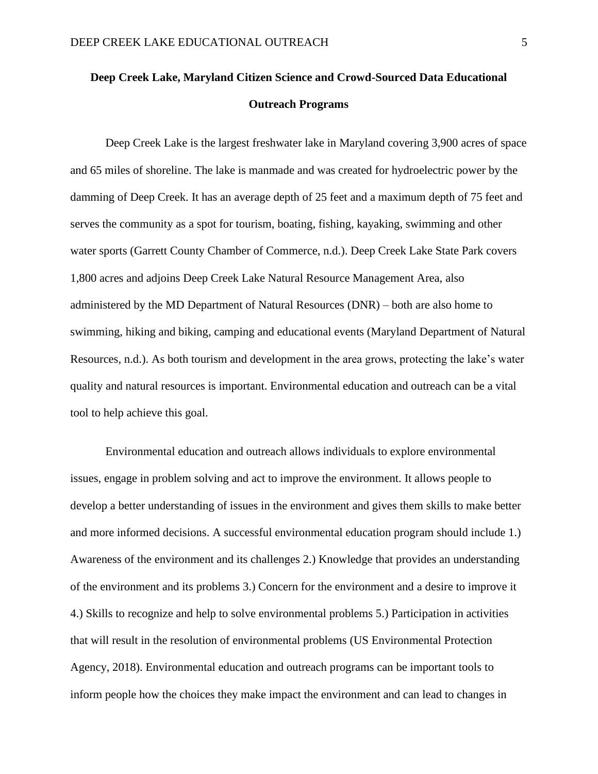# **Deep Creek Lake, Maryland Citizen Science and Crowd-Sourced Data Educational Outreach Programs**

Deep Creek Lake is the largest freshwater lake in Maryland covering 3,900 acres of space and 65 miles of shoreline. The lake is manmade and was created for hydroelectric power by the damming of Deep Creek. It has an average depth of 25 feet and a maximum depth of 75 feet and serves the community as a spot for tourism, boating, fishing, kayaking, swimming and other water sports (Garrett County Chamber of Commerce, n.d.). Deep Creek Lake State Park covers 1,800 acres and adjoins Deep Creek Lake Natural Resource Management Area, also administered by the MD Department of Natural Resources (DNR) – both are also home to swimming, hiking and biking, camping and educational events (Maryland Department of Natural Resources, n.d.). As both tourism and development in the area grows, protecting the lake's water quality and natural resources is important. Environmental education and outreach can be a vital tool to help achieve this goal.

Environmental education and outreach allows individuals to explore environmental issues, engage in problem solving and act to improve the environment. It allows people to develop a better understanding of issues in the environment and gives them skills to make better and more informed decisions. A successful environmental education program should include 1.) Awareness of the environment and its challenges 2.) Knowledge that provides an understanding of the environment and its problems 3.) Concern for the environment and a desire to improve it 4.) Skills to recognize and help to solve environmental problems 5.) Participation in activities that will result in the resolution of environmental problems (US Environmental Protection Agency, 2018). Environmental education and outreach programs can be important tools to inform people how the choices they make impact the environment and can lead to changes in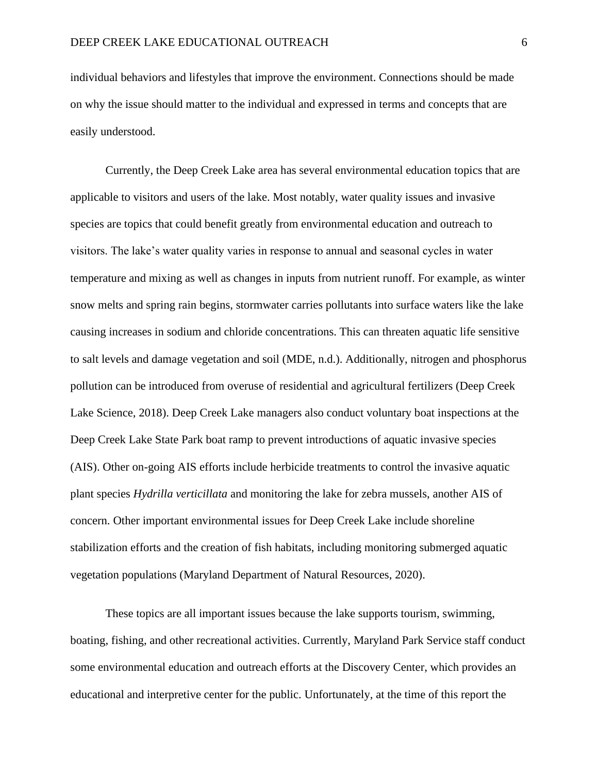individual behaviors and lifestyles that improve the environment. Connections should be made on why the issue should matter to the individual and expressed in terms and concepts that are easily understood.

Currently, the Deep Creek Lake area has several environmental education topics that are applicable to visitors and users of the lake. Most notably, water quality issues and invasive species are topics that could benefit greatly from environmental education and outreach to visitors. The lake's water quality varies in response to annual and seasonal cycles in water temperature and mixing as well as changes in inputs from nutrient runoff. For example, as winter snow melts and spring rain begins, stormwater carries pollutants into surface waters like the lake causing increases in sodium and chloride concentrations. This can threaten aquatic life sensitive to salt levels and damage vegetation and soil (MDE, n.d.). Additionally, nitrogen and phosphorus pollution can be introduced from overuse of residential and agricultural fertilizers (Deep Creek Lake Science, 2018). Deep Creek Lake managers also conduct voluntary boat inspections at the Deep Creek Lake State Park boat ramp to prevent introductions of aquatic invasive species (AIS). Other on-going AIS efforts include herbicide treatments to control the invasive aquatic plant species *Hydrilla verticillata* and monitoring the lake for zebra mussels, another AIS of concern. Other important environmental issues for Deep Creek Lake include shoreline stabilization efforts and the creation of fish habitats, including monitoring submerged aquatic vegetation populations (Maryland Department of Natural Resources, 2020).

These topics are all important issues because the lake supports tourism, swimming, boating, fishing, and other recreational activities. Currently, Maryland Park Service staff conduct some environmental education and outreach efforts at the Discovery Center, which provides an educational and interpretive center for the public. Unfortunately, at the time of this report the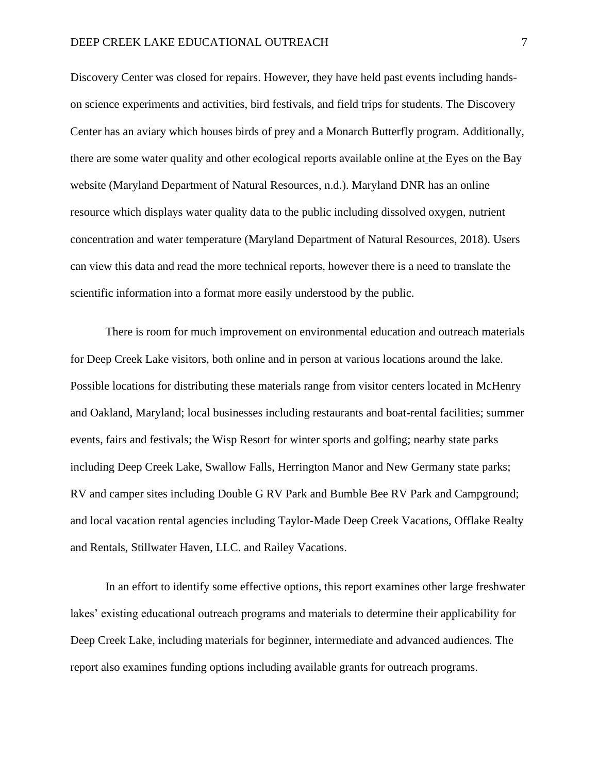Discovery Center was closed for repairs. However, they have held past events including handson science experiments and activities, bird festivals, and field trips for students. The Discovery Center has an aviary which houses birds of prey and a Monarch Butterfly program. Additionally, there are some water quality and other ecological reports available online at the Eyes on the Bay website (Maryland Department of Natural Resources, n.d.). Maryland DNR has an online resource which displays water quality data to the public including dissolved oxygen, nutrient concentration and water temperature (Maryland Department of Natural Resources, 2018). Users can view this data and read the more technical reports, however there is a need to translate the scientific information into a format more easily understood by the public.

There is room for much improvement on environmental education and outreach materials for Deep Creek Lake visitors, both online and in person at various locations around the lake. Possible locations for distributing these materials range from visitor centers located in McHenry and Oakland, Maryland; local businesses including restaurants and boat-rental facilities; summer events, fairs and festivals; the Wisp Resort for winter sports and golfing; nearby state parks including Deep Creek Lake, Swallow Falls, Herrington Manor and New Germany state parks; RV and camper sites including Double G RV Park and Bumble Bee RV Park and Campground; and local vacation rental agencies including Taylor-Made Deep Creek Vacations, Offlake Realty and Rentals, Stillwater Haven, LLC. and Railey Vacations.

In an effort to identify some effective options, this report examines other large freshwater lakes' existing educational outreach programs and materials to determine their applicability for Deep Creek Lake, including materials for beginner, intermediate and advanced audiences. The report also examines funding options including available grants for outreach programs.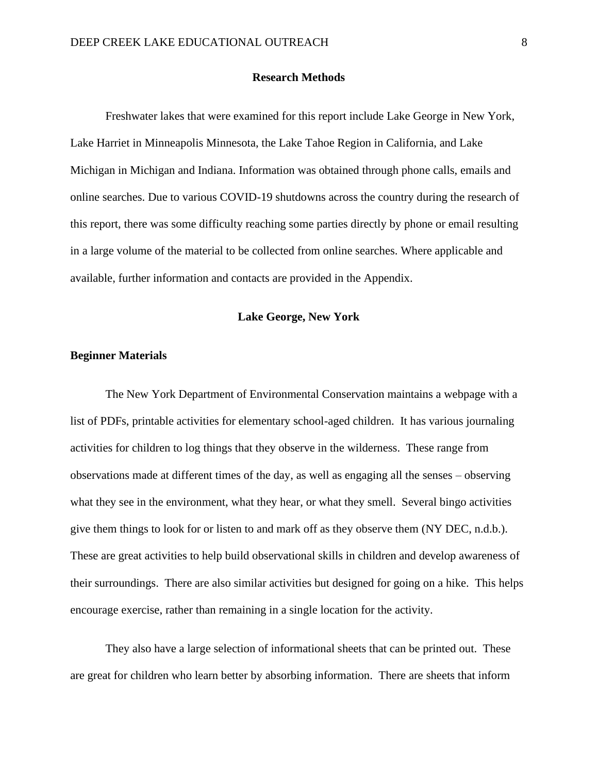#### **Research Methods**

Freshwater lakes that were examined for this report include Lake George in New York, Lake Harriet in Minneapolis Minnesota, the Lake Tahoe Region in California, and Lake Michigan in Michigan and Indiana. Information was obtained through phone calls, emails and online searches. Due to various COVID-19 shutdowns across the country during the research of this report, there was some difficulty reaching some parties directly by phone or email resulting in a large volume of the material to be collected from online searches. Where applicable and available, further information and contacts are provided in the Appendix.

#### **Lake George, New York**

## **Beginner Materials**

The New York Department of Environmental Conservation maintains a webpage with a list of PDFs, printable activities for elementary school-aged children. It has various journaling activities for children to log things that they observe in the wilderness. These range from observations made at different times of the day, as well as engaging all the senses – observing what they see in the environment, what they hear, or what they smell. Several bingo activities give them things to look for or listen to and mark off as they observe them (NY DEC, n.d.b.). These are great activities to help build observational skills in children and develop awareness of their surroundings. There are also similar activities but designed for going on a hike. This helps encourage exercise, rather than remaining in a single location for the activity.

They also have a large selection of informational sheets that can be printed out. These are great for children who learn better by absorbing information. There are sheets that inform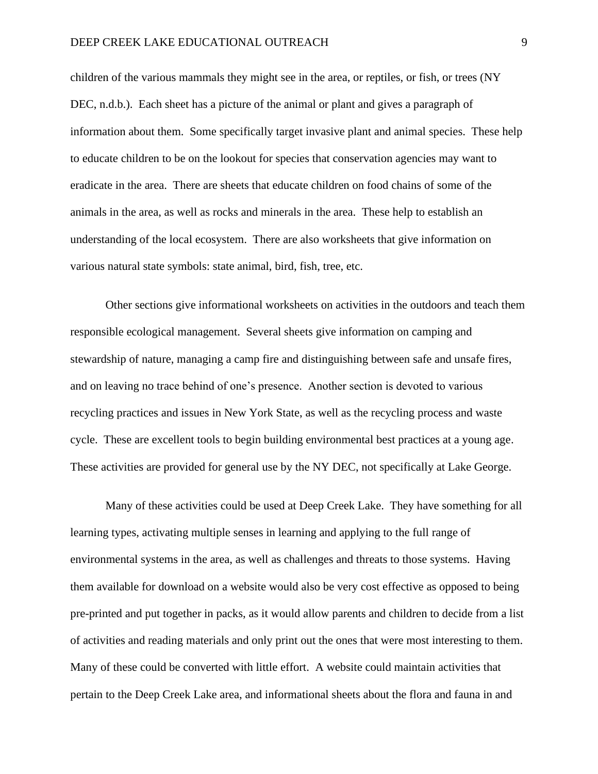children of the various mammals they might see in the area, or reptiles, or fish, or trees (NY DEC, n.d.b.). Each sheet has a picture of the animal or plant and gives a paragraph of information about them. Some specifically target invasive plant and animal species. These help to educate children to be on the lookout for species that conservation agencies may want to eradicate in the area. There are sheets that educate children on food chains of some of the animals in the area, as well as rocks and minerals in the area. These help to establish an understanding of the local ecosystem. There are also worksheets that give information on various natural state symbols: state animal, bird, fish, tree, etc.

Other sections give informational worksheets on activities in the outdoors and teach them responsible ecological management. Several sheets give information on camping and stewardship of nature, managing a camp fire and distinguishing between safe and unsafe fires, and on leaving no trace behind of one's presence. Another section is devoted to various recycling practices and issues in New York State, as well as the recycling process and waste cycle. These are excellent tools to begin building environmental best practices at a young age. These activities are provided for general use by the NY DEC, not specifically at Lake George.

Many of these activities could be used at Deep Creek Lake. They have something for all learning types, activating multiple senses in learning and applying to the full range of environmental systems in the area, as well as challenges and threats to those systems. Having them available for download on a website would also be very cost effective as opposed to being pre-printed and put together in packs, as it would allow parents and children to decide from a list of activities and reading materials and only print out the ones that were most interesting to them. Many of these could be converted with little effort. A website could maintain activities that pertain to the Deep Creek Lake area, and informational sheets about the flora and fauna in and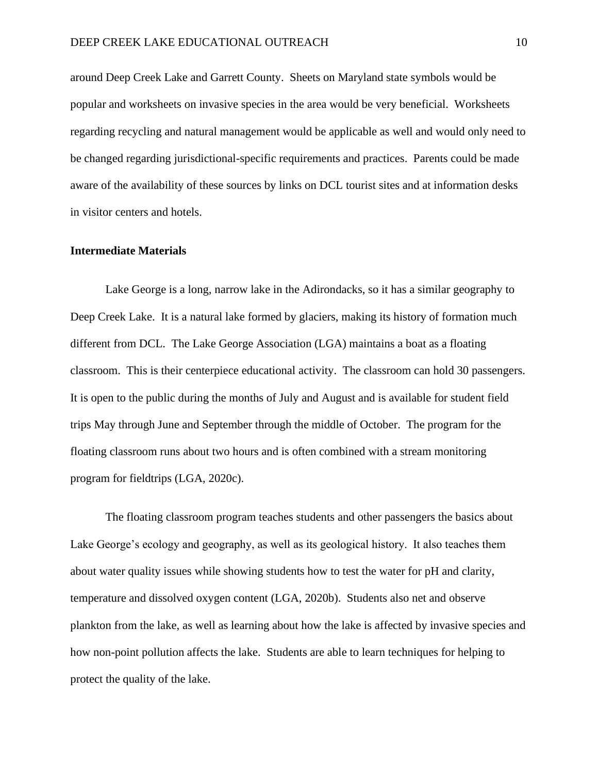around Deep Creek Lake and Garrett County. Sheets on Maryland state symbols would be popular and worksheets on invasive species in the area would be very beneficial. Worksheets regarding recycling and natural management would be applicable as well and would only need to be changed regarding jurisdictional-specific requirements and practices. Parents could be made aware of the availability of these sources by links on DCL tourist sites and at information desks in visitor centers and hotels.

#### **Intermediate Materials**

Lake George is a long, narrow lake in the Adirondacks, so it has a similar geography to Deep Creek Lake. It is a natural lake formed by glaciers, making its history of formation much different from DCL. The Lake George Association (LGA) maintains a boat as a floating classroom. This is their centerpiece educational activity. The classroom can hold 30 passengers. It is open to the public during the months of July and August and is available for student field trips May through June and September through the middle of October. The program for the floating classroom runs about two hours and is often combined with a stream monitoring program for fieldtrips (LGA, 2020c).

The floating classroom program teaches students and other passengers the basics about Lake George's ecology and geography, as well as its geological history. It also teaches them about water quality issues while showing students how to test the water for pH and clarity, temperature and dissolved oxygen content (LGA, 2020b). Students also net and observe plankton from the lake, as well as learning about how the lake is affected by invasive species and how non-point pollution affects the lake. Students are able to learn techniques for helping to protect the quality of the lake.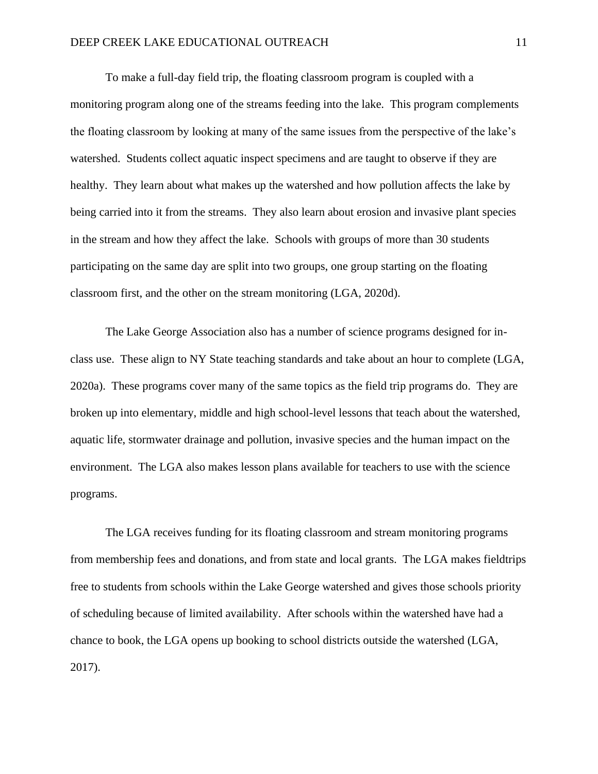To make a full-day field trip, the floating classroom program is coupled with a monitoring program along one of the streams feeding into the lake. This program complements the floating classroom by looking at many of the same issues from the perspective of the lake's watershed. Students collect aquatic inspect specimens and are taught to observe if they are healthy. They learn about what makes up the watershed and how pollution affects the lake by being carried into it from the streams. They also learn about erosion and invasive plant species in the stream and how they affect the lake. Schools with groups of more than 30 students participating on the same day are split into two groups, one group starting on the floating classroom first, and the other on the stream monitoring (LGA, 2020d).

The Lake George Association also has a number of science programs designed for inclass use. These align to NY State teaching standards and take about an hour to complete (LGA, 2020a). These programs cover many of the same topics as the field trip programs do. They are broken up into elementary, middle and high school-level lessons that teach about the watershed, aquatic life, stormwater drainage and pollution, invasive species and the human impact on the environment. The LGA also makes lesson plans available for teachers to use with the science programs.

The LGA receives funding for its floating classroom and stream monitoring programs from membership fees and donations, and from state and local grants. The LGA makes fieldtrips free to students from schools within the Lake George watershed and gives those schools priority of scheduling because of limited availability. After schools within the watershed have had a chance to book, the LGA opens up booking to school districts outside the watershed (LGA, 2017).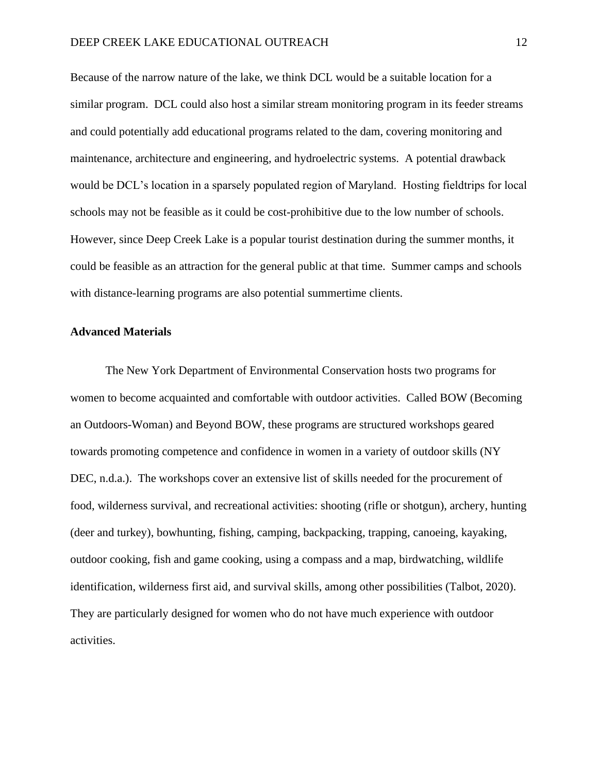Because of the narrow nature of the lake, we think DCL would be a suitable location for a similar program. DCL could also host a similar stream monitoring program in its feeder streams and could potentially add educational programs related to the dam, covering monitoring and maintenance, architecture and engineering, and hydroelectric systems. A potential drawback would be DCL's location in a sparsely populated region of Maryland. Hosting fieldtrips for local schools may not be feasible as it could be cost-prohibitive due to the low number of schools. However, since Deep Creek Lake is a popular tourist destination during the summer months, it could be feasible as an attraction for the general public at that time. Summer camps and schools with distance-learning programs are also potential summertime clients.

#### **Advanced Materials**

The New York Department of Environmental Conservation hosts two programs for women to become acquainted and comfortable with outdoor activities. Called BOW (Becoming an Outdoors-Woman) and Beyond BOW, these programs are structured workshops geared towards promoting competence and confidence in women in a variety of outdoor skills (NY DEC, n.d.a.). The workshops cover an extensive list of skills needed for the procurement of food, wilderness survival, and recreational activities: shooting (rifle or shotgun), archery, hunting (deer and turkey), bowhunting, fishing, camping, backpacking, trapping, canoeing, kayaking, outdoor cooking, fish and game cooking, using a compass and a map, birdwatching, wildlife identification, wilderness first aid, and survival skills, among other possibilities (Talbot, 2020). They are particularly designed for women who do not have much experience with outdoor activities.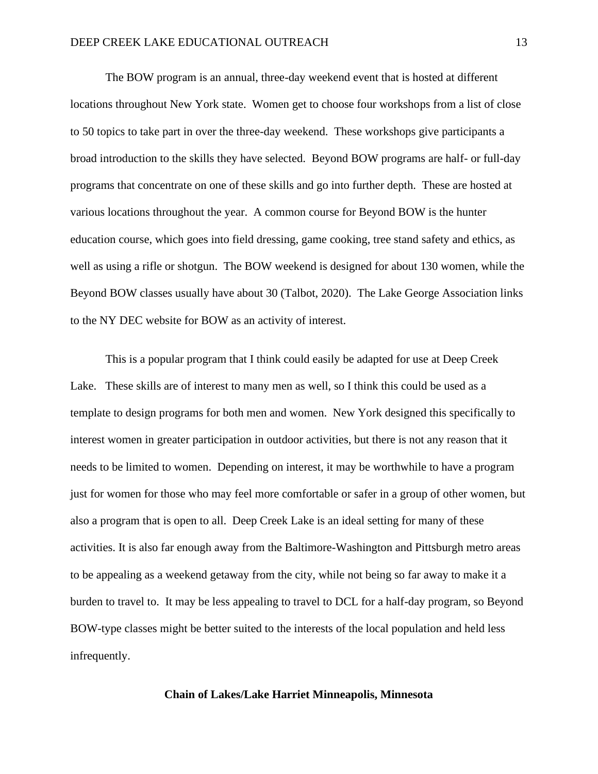The BOW program is an annual, three-day weekend event that is hosted at different locations throughout New York state. Women get to choose four workshops from a list of close to 50 topics to take part in over the three-day weekend. These workshops give participants a broad introduction to the skills they have selected. Beyond BOW programs are half- or full-day programs that concentrate on one of these skills and go into further depth. These are hosted at various locations throughout the year. A common course for Beyond BOW is the hunter education course, which goes into field dressing, game cooking, tree stand safety and ethics, as well as using a rifle or shotgun. The BOW weekend is designed for about 130 women, while the Beyond BOW classes usually have about 30 (Talbot, 2020). The Lake George Association links to the NY DEC website for BOW as an activity of interest.

This is a popular program that I think could easily be adapted for use at Deep Creek Lake. These skills are of interest to many men as well, so I think this could be used as a template to design programs for both men and women. New York designed this specifically to interest women in greater participation in outdoor activities, but there is not any reason that it needs to be limited to women. Depending on interest, it may be worthwhile to have a program just for women for those who may feel more comfortable or safer in a group of other women, but also a program that is open to all. Deep Creek Lake is an ideal setting for many of these activities. It is also far enough away from the Baltimore-Washington and Pittsburgh metro areas to be appealing as a weekend getaway from the city, while not being so far away to make it a burden to travel to. It may be less appealing to travel to DCL for a half-day program, so Beyond BOW-type classes might be better suited to the interests of the local population and held less infrequently.

#### **Chain of Lakes/Lake Harriet Minneapolis, Minnesota**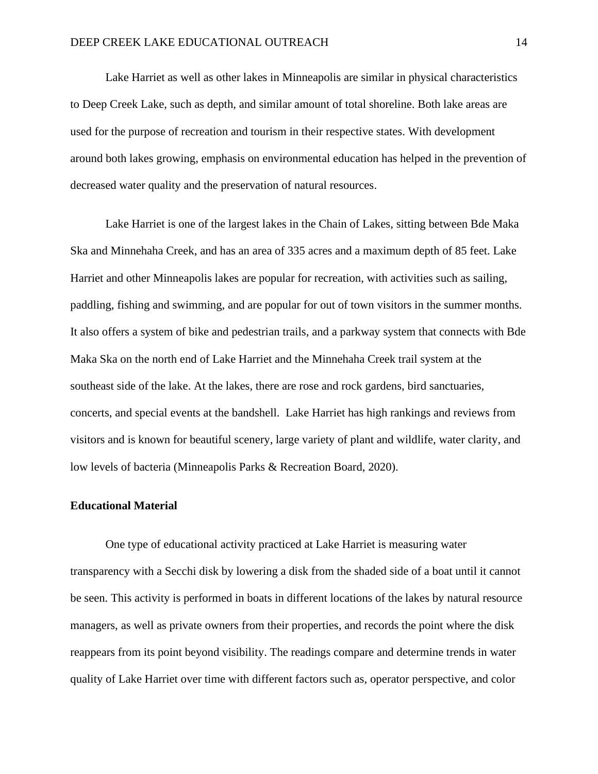Lake Harriet as well as other lakes in Minneapolis are similar in physical characteristics to Deep Creek Lake, such as depth, and similar amount of total shoreline. Both lake areas are used for the purpose of recreation and tourism in their respective states. With development around both lakes growing, emphasis on environmental education has helped in the prevention of decreased water quality and the preservation of natural resources.

Lake Harriet is one of the largest lakes in the Chain of Lakes, sitting between Bde Maka Ska and Minnehaha Creek, and has an area of 335 acres and a maximum depth of 85 feet. Lake Harriet and other Minneapolis lakes are popular for recreation, with activities such as sailing, paddling, fishing and swimming, and are popular for out of town visitors in the summer months. It also offers a system of bike and pedestrian trails, and a parkway system that connects with Bde Maka Ska on the north end of Lake Harriet and the Minnehaha Creek trail system at the southeast side of the lake. At the lakes, there are rose and rock gardens, bird sanctuaries, concerts, and special events at the bandshell. Lake Harriet has high rankings and reviews from visitors and is known for beautiful scenery, large variety of plant and wildlife, water clarity, and low levels of bacteria (Minneapolis Parks & Recreation Board, 2020).

#### **Educational Material**

One type of educational activity practiced at Lake Harriet is measuring water transparency with a Secchi disk by lowering a disk from the shaded side of a boat until it cannot be seen. This activity is performed in boats in different locations of the lakes by natural resource managers, as well as private owners from their properties, and records the point where the disk reappears from its point beyond visibility. The readings compare and determine trends in water quality of Lake Harriet over time with different factors such as, operator perspective, and color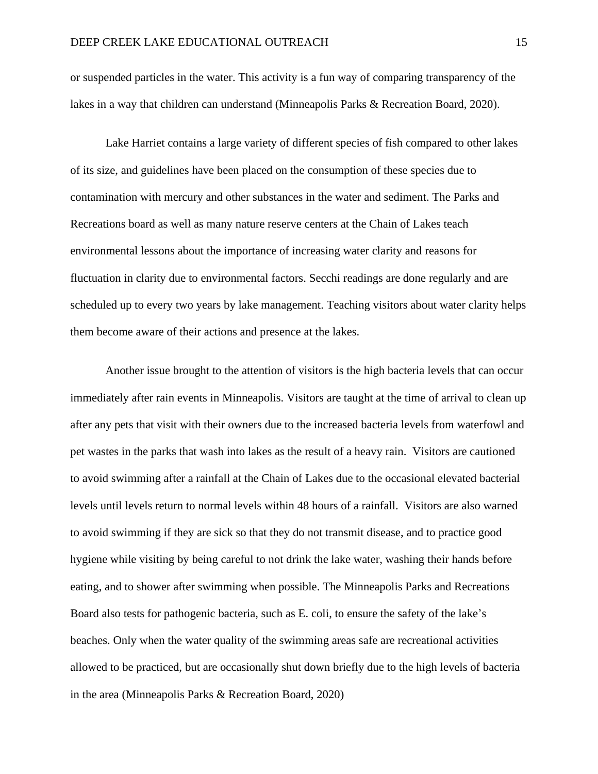or suspended particles in the water. This activity is a fun way of comparing transparency of the lakes in a way that children can understand (Minneapolis Parks & Recreation Board, 2020).

Lake Harriet contains a large variety of different species of fish compared to other lakes of its size, and guidelines have been placed on the consumption of these species due to contamination with mercury and other substances in the water and sediment. The Parks and Recreations board as well as many nature reserve centers at the Chain of Lakes teach environmental lessons about the importance of increasing water clarity and reasons for fluctuation in clarity due to environmental factors. Secchi readings are done regularly and are scheduled up to every two years by lake management. Teaching visitors about water clarity helps them become aware of their actions and presence at the lakes.

Another issue brought to the attention of visitors is the high bacteria levels that can occur immediately after rain events in Minneapolis. Visitors are taught at the time of arrival to clean up after any pets that visit with their owners due to the increased bacteria levels from waterfowl and pet wastes in the parks that wash into lakes as the result of a heavy rain. Visitors are cautioned to avoid swimming after a rainfall at the Chain of Lakes due to the occasional elevated bacterial levels until levels return to normal levels within 48 hours of a rainfall. Visitors are also warned to avoid swimming if they are sick so that they do not transmit disease, and to practice good hygiene while visiting by being careful to not drink the lake water, washing their hands before eating, and to shower after swimming when possible. The Minneapolis Parks and Recreations Board also tests for pathogenic bacteria, such as E. coli, to ensure the safety of the lake's beaches. Only when the water quality of the swimming areas safe are recreational activities allowed to be practiced, but are occasionally shut down briefly due to the high levels of bacteria in the area (Minneapolis Parks & Recreation Board, 2020)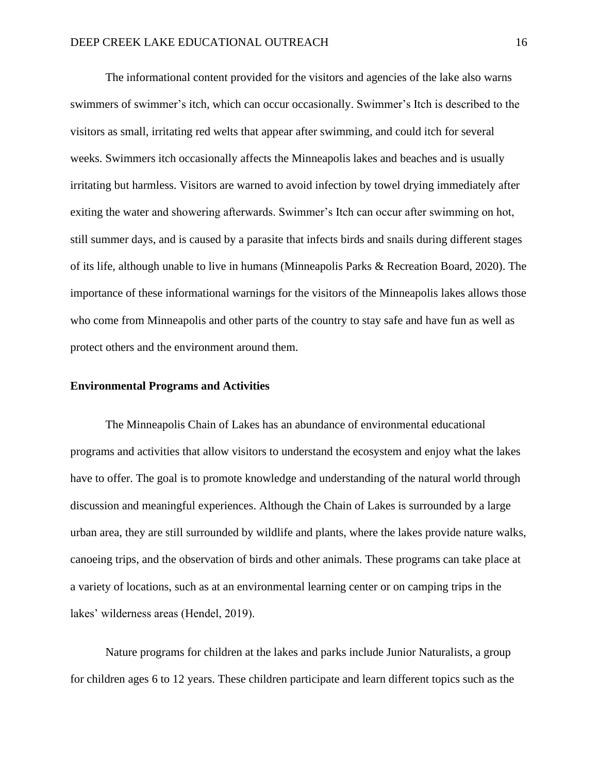The informational content provided for the visitors and agencies of the lake also warns swimmers of swimmer's itch, which can occur occasionally. Swimmer's Itch is described to the visitors as small, irritating red welts that appear after swimming, and could itch for several weeks. Swimmers itch occasionally affects the Minneapolis lakes and beaches and is usually irritating but harmless. Visitors are warned to avoid infection by towel drying immediately after exiting the water and showering afterwards. Swimmer's Itch can occur after swimming on hot, still summer days, and is caused by a parasite that infects birds and snails during different stages of its life, although unable to live in humans (Minneapolis Parks & Recreation Board, 2020). The importance of these informational warnings for the visitors of the Minneapolis lakes allows those who come from Minneapolis and other parts of the country to stay safe and have fun as well as protect others and the environment around them.

#### **Environmental Programs and Activities**

The Minneapolis Chain of Lakes has an abundance of environmental educational programs and activities that allow visitors to understand the ecosystem and enjoy what the lakes have to offer. The goal is to promote knowledge and understanding of the natural world through discussion and meaningful experiences. Although the Chain of Lakes is surrounded by a large urban area, they are still surrounded by wildlife and plants, where the lakes provide nature walks, canoeing trips, and the observation of birds and other animals. These programs can take place at a variety of locations, such as at an environmental learning center or on camping trips in the lakes' wilderness areas (Hendel, 2019).

Nature programs for children at the lakes and parks include Junior Naturalists, a group for children ages 6 to 12 years. These children participate and learn different topics such as the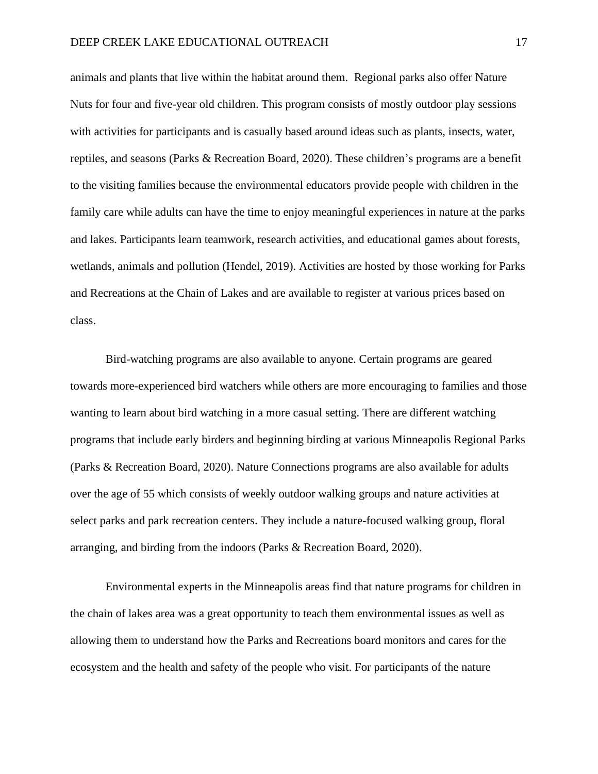animals and plants that live within the habitat around them. Regional parks also offer Nature Nuts for four and five-year old children. This program consists of mostly outdoor play sessions with activities for participants and is casually based around ideas such as plants, insects, water, reptiles, and seasons (Parks & Recreation Board, 2020). These children's programs are a benefit to the visiting families because the environmental educators provide people with children in the family care while adults can have the time to enjoy meaningful experiences in nature at the parks and lakes. Participants learn teamwork, research activities, and educational games about forests, wetlands, animals and pollution (Hendel, 2019). Activities are hosted by those working for Parks and Recreations at the Chain of Lakes and are available to register at various prices based on class.

Bird-watching programs are also available to anyone. Certain programs are geared towards more-experienced bird watchers while others are more encouraging to families and those wanting to learn about bird watching in a more casual setting. There are different watching programs that include early birders and beginning birding at various Minneapolis Regional Parks (Parks & Recreation Board, 2020). Nature Connections programs are also available for adults over the age of 55 which consists of weekly outdoor walking groups and nature activities at select parks and park recreation centers. They include a nature-focused walking group, floral arranging, and birding from the indoors (Parks & Recreation Board, 2020).

Environmental experts in the Minneapolis areas find that nature programs for children in the chain of lakes area was a great opportunity to teach them environmental issues as well as allowing them to understand how the Parks and Recreations board monitors and cares for the ecosystem and the health and safety of the people who visit. For participants of the nature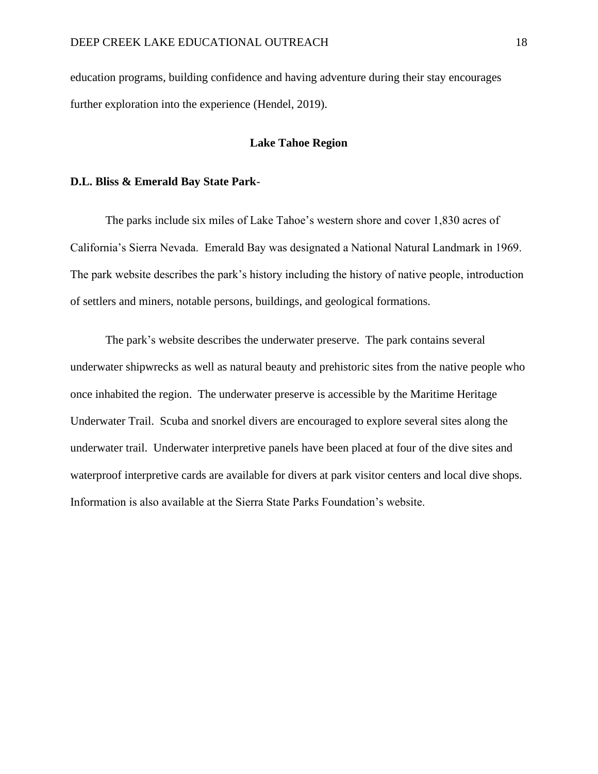education programs, building confidence and having adventure during their stay encourages further exploration into the experience (Hendel, 2019).

#### **Lake Tahoe Region**

#### **D.L. Bliss & Emerald Bay State Park**-

The parks include six miles of Lake Tahoe's western shore and cover 1,830 acres of California's Sierra Nevada. Emerald Bay was designated a National Natural Landmark in 1969. The park website describes the park's history including the history of native people, introduction of settlers and miners, notable persons, buildings, and geological formations.

The park's website describes the underwater preserve. The park contains several underwater shipwrecks as well as natural beauty and prehistoric sites from the native people who once inhabited the region. The underwater preserve is accessible by the Maritime Heritage Underwater Trail. Scuba and snorkel divers are encouraged to explore several sites along the underwater trail. Underwater interpretive panels have been placed at four of the dive sites and waterproof interpretive cards are available for divers at park visitor centers and local dive shops. Information is also available at the Sierra State Parks Foundation's website.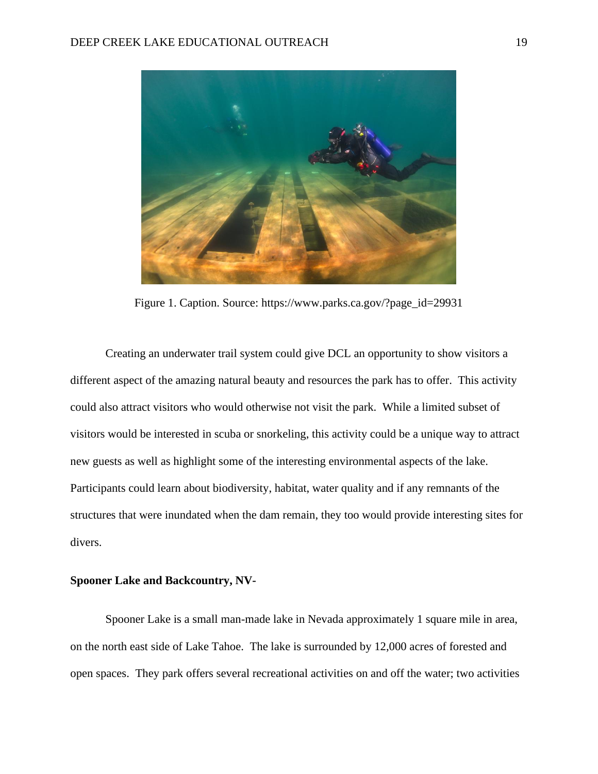

Figure 1. Caption. Source: https://www.parks.ca.gov/?page\_id=29931

Creating an underwater trail system could give DCL an opportunity to show visitors a different aspect of the amazing natural beauty and resources the park has to offer. This activity could also attract visitors who would otherwise not visit the park. While a limited subset of visitors would be interested in scuba or snorkeling, this activity could be a unique way to attract new guests as well as highlight some of the interesting environmental aspects of the lake. Participants could learn about biodiversity, habitat, water quality and if any remnants of the structures that were inundated when the dam remain, they too would provide interesting sites for divers.

## **Spooner Lake and Backcountry, NV-**

Spooner Lake is a small man-made lake in Nevada approximately 1 square mile in area, on the north east side of Lake Tahoe. The lake is surrounded by 12,000 acres of forested and open spaces. They park offers several recreational activities on and off the water; two activities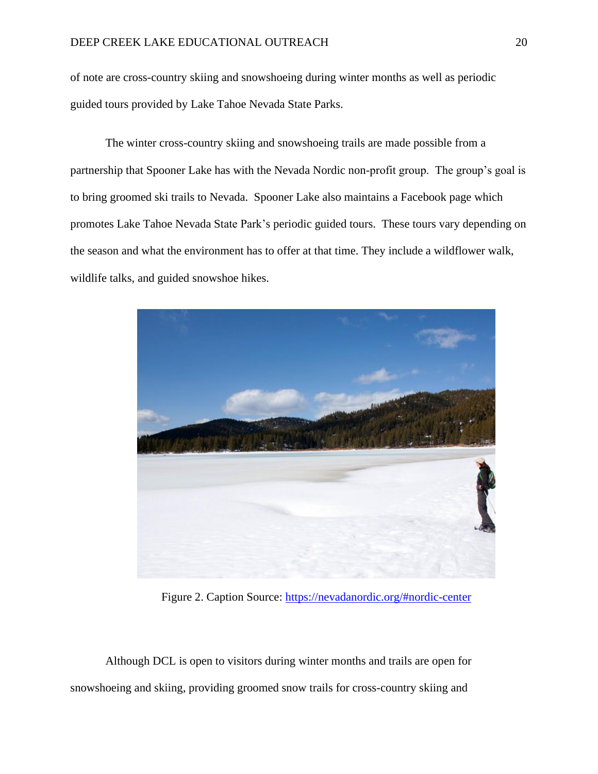of note are cross-country skiing and snowshoeing during winter months as well as periodic guided tours provided by Lake Tahoe Nevada State Parks.

The winter cross-country skiing and snowshoeing trails are made possible from a partnership that Spooner Lake has with the Nevada Nordic non-profit group. The group's goal is to bring groomed ski trails to Nevada. Spooner Lake also maintains a Facebook page which promotes Lake Tahoe Nevada State Park's periodic guided tours. These tours vary depending on the season and what the environment has to offer at that time. They include a wildflower walk, wildlife talks, and guided snowshoe hikes.



Figure 2. Caption Source:<https://nevadanordic.org/#nordic-center>

Although DCL is open to visitors during winter months and trails are open for snowshoeing and skiing, providing groomed snow trails for cross-country skiing and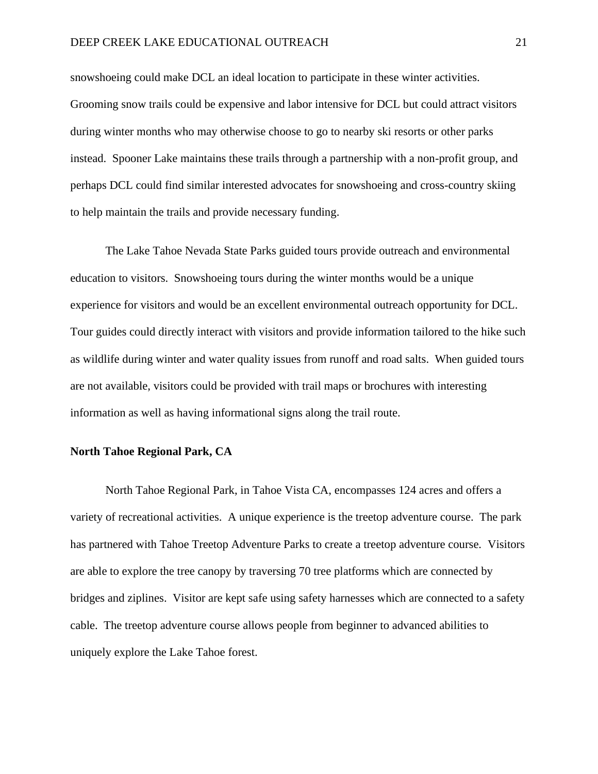snowshoeing could make DCL an ideal location to participate in these winter activities. Grooming snow trails could be expensive and labor intensive for DCL but could attract visitors during winter months who may otherwise choose to go to nearby ski resorts or other parks instead. Spooner Lake maintains these trails through a partnership with a non-profit group, and perhaps DCL could find similar interested advocates for snowshoeing and cross-country skiing to help maintain the trails and provide necessary funding.

The Lake Tahoe Nevada State Parks guided tours provide outreach and environmental education to visitors. Snowshoeing tours during the winter months would be a unique experience for visitors and would be an excellent environmental outreach opportunity for DCL. Tour guides could directly interact with visitors and provide information tailored to the hike such as wildlife during winter and water quality issues from runoff and road salts. When guided tours are not available, visitors could be provided with trail maps or brochures with interesting information as well as having informational signs along the trail route.

## **North Tahoe Regional Park, CA**

North Tahoe Regional Park, in Tahoe Vista CA, encompasses 124 acres and offers a variety of recreational activities. A unique experience is the treetop adventure course. The park has partnered with Tahoe Treetop Adventure Parks to create a treetop adventure course. Visitors are able to explore the tree canopy by traversing 70 tree platforms which are connected by bridges and ziplines. Visitor are kept safe using safety harnesses which are connected to a safety cable. The treetop adventure course allows people from beginner to advanced abilities to uniquely explore the Lake Tahoe forest.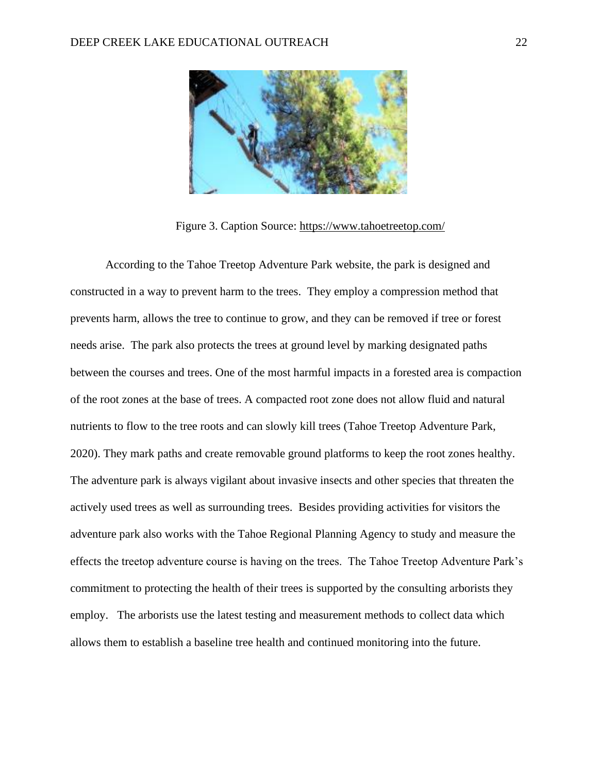

Figure 3. Caption Source:<https://www.tahoetreetop.com/>

According to the Tahoe Treetop Adventure Park website, the park is designed and constructed in a way to prevent harm to the trees. They employ a compression method that prevents harm, allows the tree to continue to grow, and they can be removed if tree or forest needs arise. The park also protects the trees at ground level by marking designated paths between the courses and trees. One of the most harmful impacts in a forested area is compaction of the root zones at the base of trees. A compacted root zone does not allow fluid and natural nutrients to flow to the tree roots and can slowly kill trees (Tahoe Treetop Adventure Park, 2020). They mark paths and create removable ground platforms to keep the root zones healthy. The adventure park is always vigilant about invasive insects and other species that threaten the actively used trees as well as surrounding trees. Besides providing activities for visitors the adventure park also works with the Tahoe Regional Planning Agency to study and measure the effects the treetop adventure course is having on the trees. The Tahoe Treetop Adventure Park's commitment to protecting the health of their trees is supported by the consulting arborists they employ. The arborists use the latest testing and measurement methods to collect data which allows them to establish a baseline tree health and continued monitoring into the future.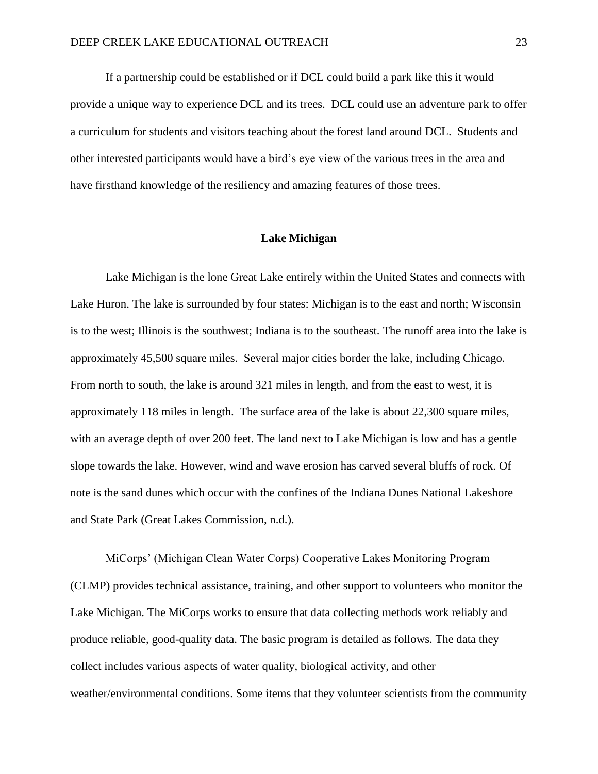If a partnership could be established or if DCL could build a park like this it would provide a unique way to experience DCL and its trees. DCL could use an adventure park to offer a curriculum for students and visitors teaching about the forest land around DCL. Students and other interested participants would have a bird's eye view of the various trees in the area and have firsthand knowledge of the resiliency and amazing features of those trees.

#### **Lake Michigan**

Lake Michigan is the lone Great Lake entirely within the United States and connects with Lake Huron. The lake is surrounded by four states: Michigan is to the east and north; Wisconsin is to the west; Illinois is the southwest; Indiana is to the southeast. The runoff area into the lake is approximately 45,500 square miles. Several major cities border the lake, including Chicago. From north to south, the lake is around 321 miles in length, and from the east to west, it is approximately 118 miles in length. The surface area of the lake is about 22,300 square miles, with an average depth of over 200 feet. The land next to Lake Michigan is low and has a gentle slope towards the lake. However, wind and wave erosion has carved several bluffs of rock. Of note is the sand dunes which occur with the confines of the Indiana Dunes National Lakeshore and State Park (Great Lakes Commission, n.d.).

MiCorps' (Michigan Clean Water Corps) Cooperative Lakes Monitoring Program (CLMP) provides technical assistance, training, and other support to volunteers who monitor the Lake Michigan. The MiCorps works to ensure that data collecting methods work reliably and produce reliable, good-quality data. The basic program is detailed as follows. The data they collect includes various aspects of water quality, biological activity, and other weather/environmental conditions. Some items that they volunteer scientists from the community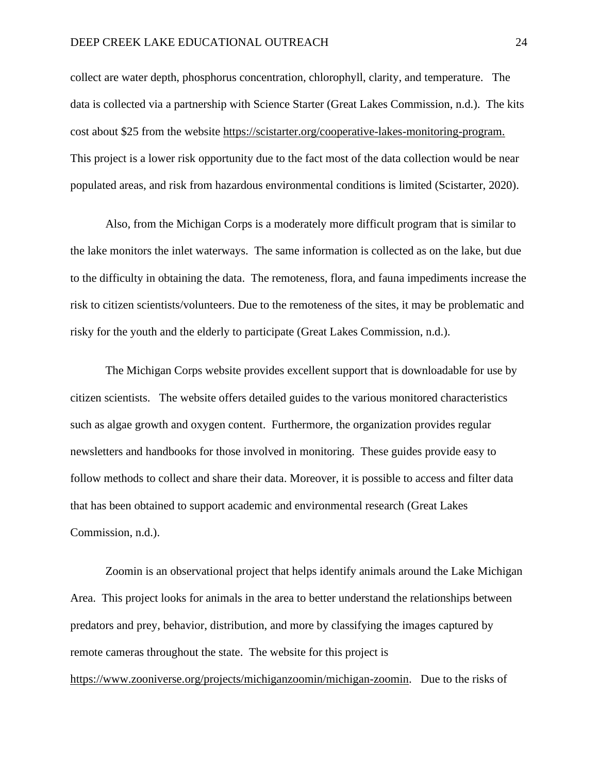#### DEEP CREEK LAKE EDUCATIONAL OUTREACH 24

collect are water depth, phosphorus concentration, chlorophyll, clarity, and temperature. The data is collected via a partnership with Science Starter (Great Lakes Commission, n.d.). The kits cost about \$25 from the website<https://scistarter.org/cooperative-lakes-monitoring-program.> This project is a lower risk opportunity due to the fact most of the data collection would be near populated areas, and risk from hazardous environmental conditions is limited (Scistarter, 2020).

Also, from the Michigan Corps is a moderately more difficult program that is similar to the lake monitors the inlet waterways. The same information is collected as on the lake, but due to the difficulty in obtaining the data. The remoteness, flora, and fauna impediments increase the risk to citizen scientists/volunteers. Due to the remoteness of the sites, it may be problematic and risky for the youth and the elderly to participate (Great Lakes Commission, n.d.).

The Michigan Corps website provides excellent support that is downloadable for use by citizen scientists. The website offers detailed guides to the various monitored characteristics such as algae growth and oxygen content. Furthermore, the organization provides regular newsletters and handbooks for those involved in monitoring. These guides provide easy to follow methods to collect and share their data. Moreover, it is possible to access and filter data that has been obtained to support academic and environmental research (Great Lakes Commission, n.d.).

Zoomin is an observational project that helps identify animals around the Lake Michigan Area. This project looks for animals in the area to better understand the relationships between predators and prey, behavior, distribution, and more by classifying the images captured by remote cameras throughout the state. The website for this project is [https://www.zooniverse.org/projects/michiganzoomin/michigan-zoomin.](https://www.zooniverse.org/projects/michiganzoomin/michigan-zoomin) Due to the risks of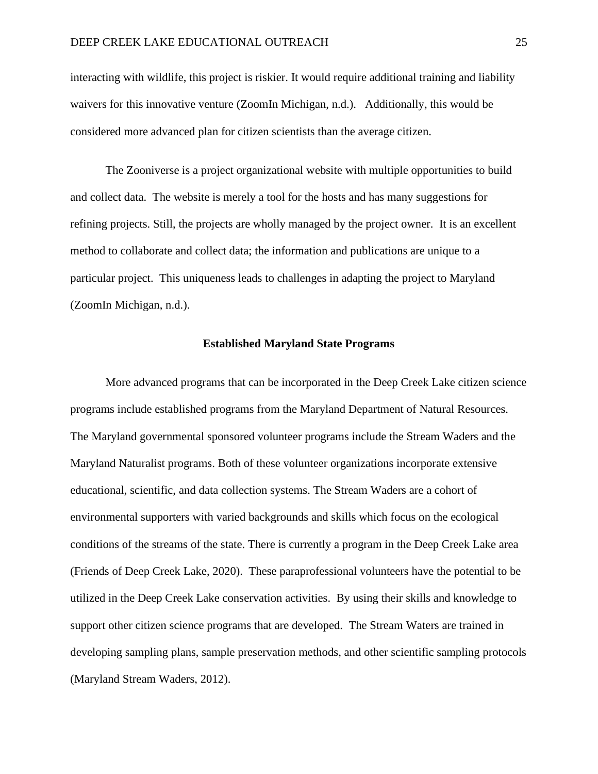interacting with wildlife, this project is riskier. It would require additional training and liability waivers for this innovative venture (ZoomIn Michigan, n.d.). Additionally, this would be considered more advanced plan for citizen scientists than the average citizen.

The Zooniverse is a project organizational website with multiple opportunities to build and collect data. The website is merely a tool for the hosts and has many suggestions for refining projects. Still, the projects are wholly managed by the project owner. It is an excellent method to collaborate and collect data; the information and publications are unique to a particular project. This uniqueness leads to challenges in adapting the project to Maryland (ZoomIn Michigan, n.d.).

#### **Established Maryland State Programs**

More advanced programs that can be incorporated in the Deep Creek Lake citizen science programs include established programs from the Maryland Department of Natural Resources. The Maryland governmental sponsored volunteer programs include the Stream Waders and the Maryland Naturalist programs. Both of these volunteer organizations incorporate extensive educational, scientific, and data collection systems. The Stream Waders are a cohort of environmental supporters with varied backgrounds and skills which focus on the ecological conditions of the streams of the state. There is currently a program in the Deep Creek Lake area (Friends of Deep Creek Lake, 2020). These paraprofessional volunteers have the potential to be utilized in the Deep Creek Lake conservation activities. By using their skills and knowledge to support other citizen science programs that are developed. The Stream Waters are trained in developing sampling plans, sample preservation methods, and other scientific sampling protocols (Maryland Stream Waders, 2012).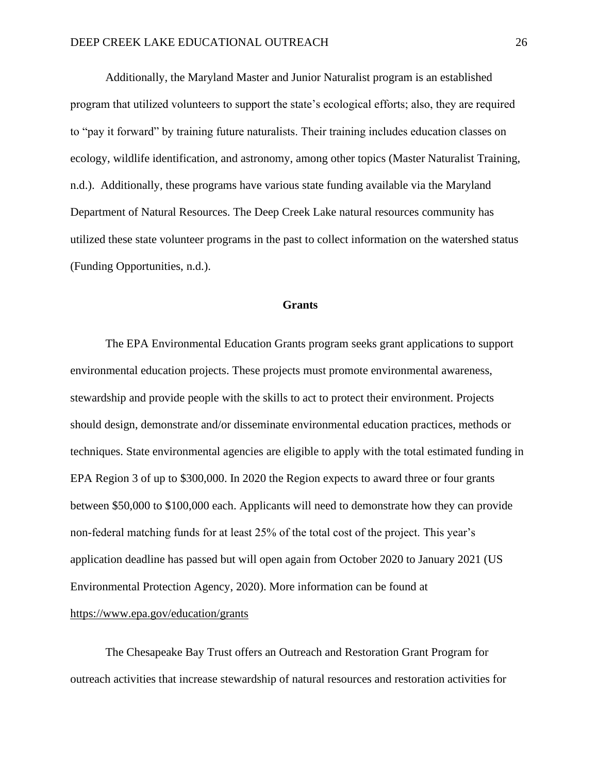Additionally, the Maryland Master and Junior Naturalist program is an established program that utilized volunteers to support the state's ecological efforts; also, they are required to "pay it forward" by training future naturalists. Their training includes education classes on ecology, wildlife identification, and astronomy, among other topics (Master Naturalist Training, n.d.). Additionally, these programs have various state funding available via the Maryland Department of Natural Resources. The Deep Creek Lake natural resources community has utilized these state volunteer programs in the past to collect information on the watershed status (Funding Opportunities, n.d.).

#### **Grants**

 The EPA Environmental Education Grants program seeks grant applications to support environmental education projects. These projects must promote environmental awareness, stewardship and provide people with the skills to act to protect their environment. Projects should design, demonstrate and/or disseminate environmental education practices, methods or techniques. State environmental agencies are eligible to apply with the total estimated funding in EPA Region 3 of up to \$300,000. In 2020 the Region expects to award three or four grants between \$50,000 to \$100,000 each. Applicants will need to demonstrate how they can provide non-federal matching funds for at least 25% of the total cost of the project. This year's application deadline has passed but will open again from October 2020 to January 2021 (US Environmental Protection Agency, 2020). More information can be found at <https://www.epa.gov/education/grants>

 The Chesapeake Bay Trust offers an Outreach and Restoration Grant Program for outreach activities that increase stewardship of natural resources and restoration activities for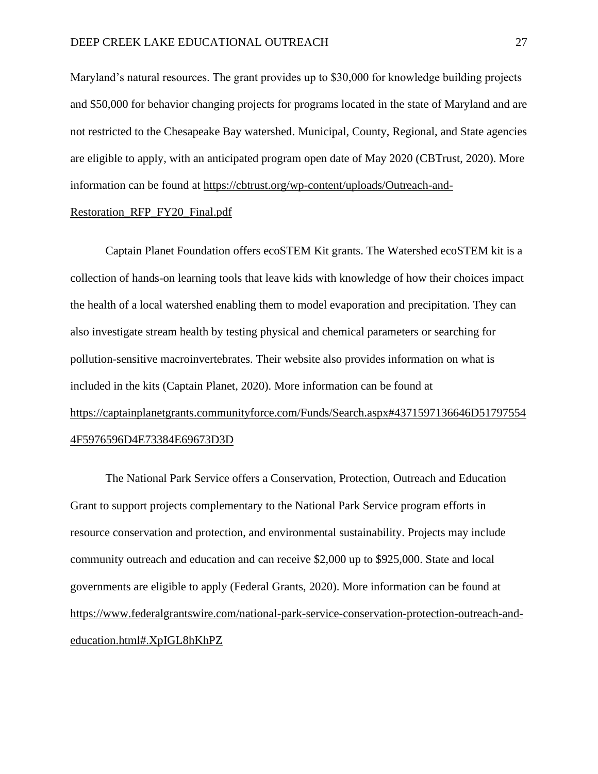Maryland's natural resources. The grant provides up to \$30,000 for knowledge building projects and \$50,000 for behavior changing projects for programs located in the state of Maryland and are not restricted to the Chesapeake Bay watershed. Municipal, County, Regional, and State agencies are eligible to apply, with an anticipated program open date of May 2020 (CBTrust, 2020). More information can be found at [https://cbtrust.org/wp-content/uploads/Outreach-and-](https://cbtrust.org/wp-content/uploads/Outreach-and-Restoration_RFP_FY20_Final.pdf)

#### [Restoration\\_RFP\\_FY20\\_Final.pdf](https://cbtrust.org/wp-content/uploads/Outreach-and-Restoration_RFP_FY20_Final.pdf)

 Captain Planet Foundation offers ecoSTEM Kit grants. The Watershed ecoSTEM kit is a collection of hands-on learning tools that leave kids with knowledge of how their choices impact the health of a local watershed enabling them to model evaporation and precipitation. They can also investigate stream health by testing physical and chemical parameters or searching for pollution-sensitive macroinvertebrates. Their website also provides information on what is included in the kits (Captain Planet, 2020). More information can be found at [https://captainplanetgrants.communityforce.com/Funds/Search.aspx#4371597136646D51797554](https://captainplanetgrants.communityforce.com/Funds/Search.aspx#4371597136646D517975544F5976596D4E73384E69673D3D) [4F5976596D4E73384E69673D3D](https://captainplanetgrants.communityforce.com/Funds/Search.aspx#4371597136646D517975544F5976596D4E73384E69673D3D)

 The National Park Service offers a Conservation, Protection, Outreach and Education Grant to support projects complementary to the National Park Service program efforts in resource conservation and protection, and environmental sustainability. Projects may include community outreach and education and can receive \$2,000 up to \$925,000. State and local governments are eligible to apply (Federal Grants, 2020). More information can be found at [https://www.federalgrantswire.com/national-park-service-conservation-protection-outreach-and](https://www.federalgrantswire.com/national-park-service-conservation-protection-outreach-and-education.html#.XpIGL8hKhPZ)[education.html#.XpIGL8hKhPZ](https://www.federalgrantswire.com/national-park-service-conservation-protection-outreach-and-education.html#.XpIGL8hKhPZ)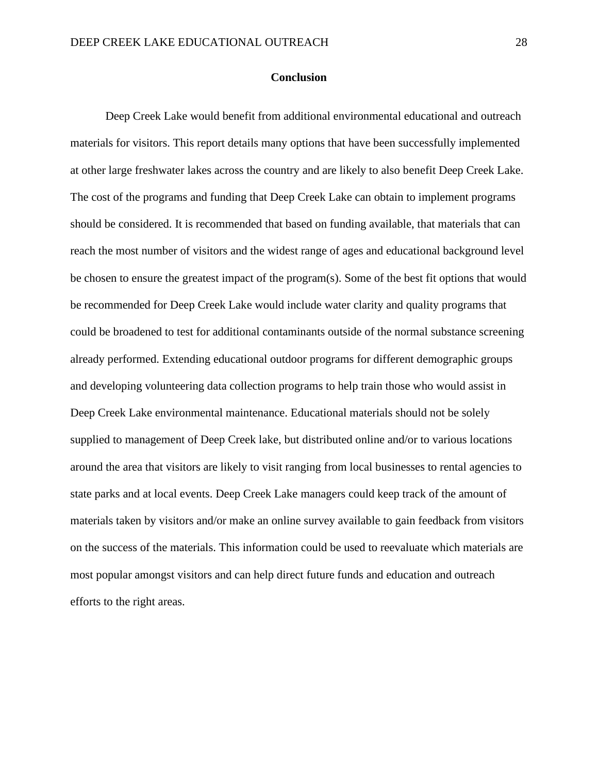#### **Conclusion**

Deep Creek Lake would benefit from additional environmental educational and outreach materials for visitors. This report details many options that have been successfully implemented at other large freshwater lakes across the country and are likely to also benefit Deep Creek Lake. The cost of the programs and funding that Deep Creek Lake can obtain to implement programs should be considered. It is recommended that based on funding available, that materials that can reach the most number of visitors and the widest range of ages and educational background level be chosen to ensure the greatest impact of the program(s). Some of the best fit options that would be recommended for Deep Creek Lake would include water clarity and quality programs that could be broadened to test for additional contaminants outside of the normal substance screening already performed. Extending educational outdoor programs for different demographic groups and developing volunteering data collection programs to help train those who would assist in Deep Creek Lake environmental maintenance. Educational materials should not be solely supplied to management of Deep Creek lake, but distributed online and/or to various locations around the area that visitors are likely to visit ranging from local businesses to rental agencies to state parks and at local events. Deep Creek Lake managers could keep track of the amount of materials taken by visitors and/or make an online survey available to gain feedback from visitors on the success of the materials. This information could be used to reevaluate which materials are most popular amongst visitors and can help direct future funds and education and outreach efforts to the right areas.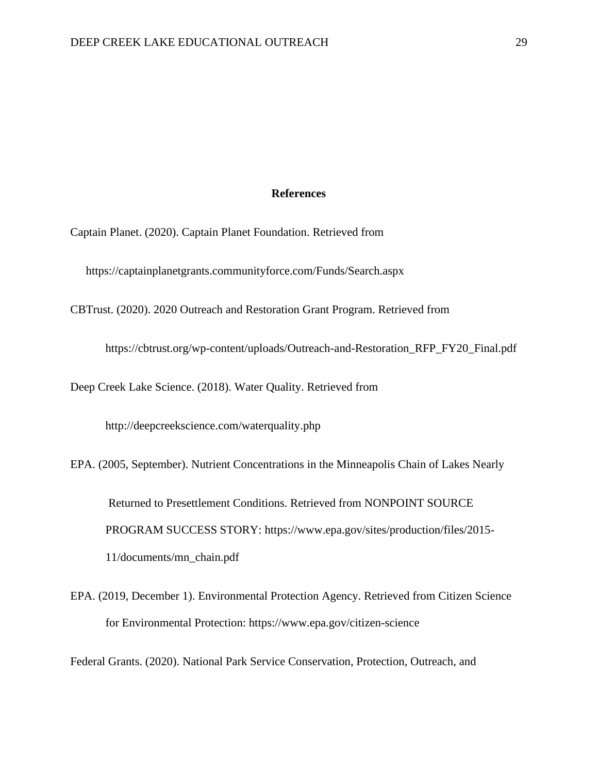## **References**

Captain Planet. (2020). Captain Planet Foundation. Retrieved from

https://captainplanetgrants.communityforce.com/Funds/Search.aspx

CBTrust. (2020). 2020 Outreach and Restoration Grant Program. Retrieved from

https://cbtrust.org/wp-content/uploads/Outreach-and-Restoration\_RFP\_FY20\_Final.pdf

Deep Creek Lake Science. (2018). Water Quality. Retrieved from

http://deepcreekscience.com/waterquality.php

EPA. (2005, September). Nutrient Concentrations in the Minneapolis Chain of Lakes Nearly Returned to Presettlement Conditions. Retrieved from NONPOINT SOURCE PROGRAM SUCCESS STORY: https://www.epa.gov/sites/production/files/2015- 11/documents/mn\_chain.pdf

EPA. (2019, December 1). Environmental Protection Agency. Retrieved from Citizen Science for Environmental Protection: https://www.epa.gov/citizen-science

Federal Grants. (2020). National Park Service Conservation, Protection, Outreach, and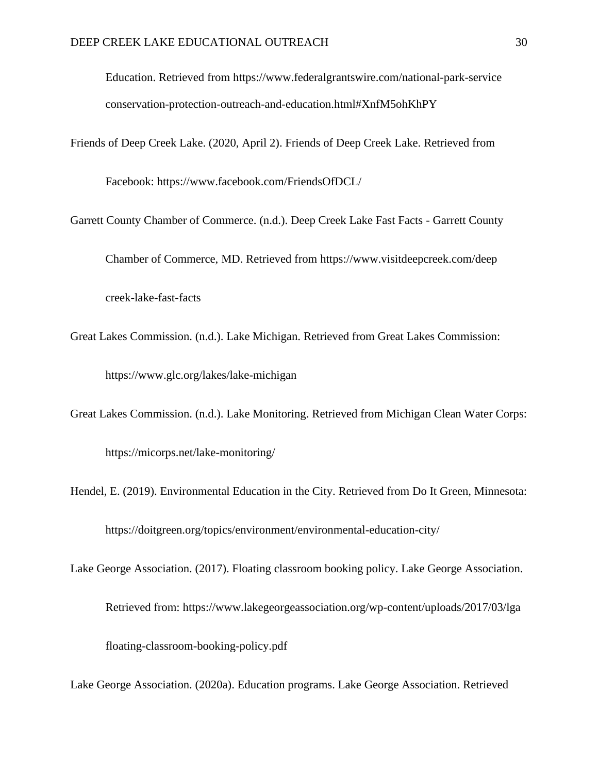Education. Retrieved from https://www.federalgrantswire.com/national-park-service conservation-protection-outreach-and-education.html#XnfM5ohKhPY

Friends of Deep Creek Lake. (2020, April 2). Friends of Deep Creek Lake. Retrieved from

Facebook: https://www.facebook.com/FriendsOfDCL/

- Garrett County Chamber of Commerce. (n.d.). Deep Creek Lake Fast Facts Garrett County Chamber of Commerce, MD. Retrieved from https://www.visitdeepcreek.com/deep creek-lake-fast-facts
- Great Lakes Commission. (n.d.). Lake Michigan. Retrieved from Great Lakes Commission: https://www.glc.org/lakes/lake-michigan
- Great Lakes Commission. (n.d.). Lake Monitoring. Retrieved from Michigan Clean Water Corps: https://micorps.net/lake-monitoring/
- Hendel, E. (2019). Environmental Education in the City. Retrieved from Do It Green, Minnesota: https://doitgreen.org/topics/environment/environmental-education-city/
- Lake George Association. (2017). Floating classroom booking policy. Lake George Association.

Retrieved from: https://www.lakegeorgeassociation.org/wp-content/uploads/2017/03/lga floating-classroom-booking-policy.pdf

Lake George Association. (2020a). Education programs. Lake George Association. Retrieved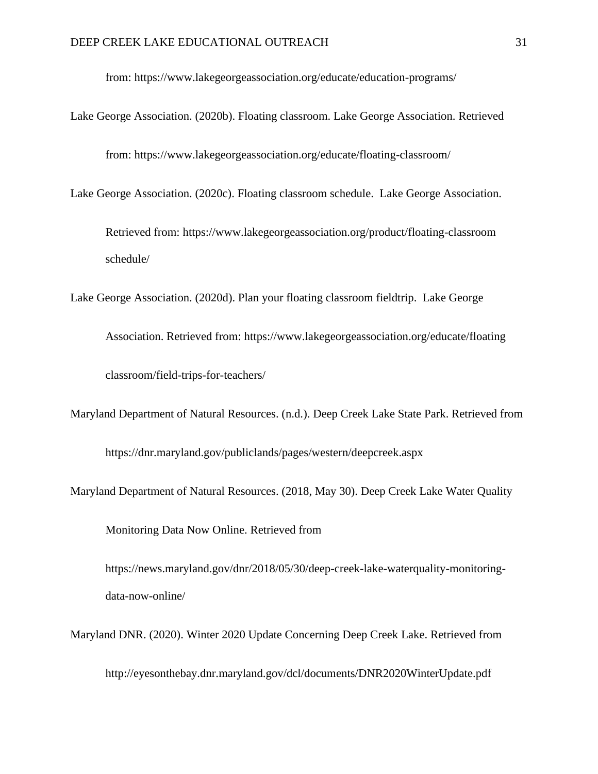from: https://www.lakegeorgeassociation.org/educate/education-programs/

Lake George Association. (2020b). Floating classroom. Lake George Association. Retrieved

from: https://www.lakegeorgeassociation.org/educate/floating-classroom/

Lake George Association. (2020c). Floating classroom schedule. Lake George Association.

Retrieved from: https://www.lakegeorgeassociation.org/product/floating-classroom schedule/

Lake George Association. (2020d). Plan your floating classroom fieldtrip. Lake George

Association. Retrieved from: https://www.lakegeorgeassociation.org/educate/floating classroom/field-trips-for-teachers/

Maryland Department of Natural Resources. (n.d.). Deep Creek Lake State Park. Retrieved from https://dnr.maryland.gov/publiclands/pages/western/deepcreek.aspx

Maryland Department of Natural Resources. (2018, May 30). Deep Creek Lake Water Quality

Monitoring Data Now Online. Retrieved from

https://news.maryland.gov/dnr/2018/05/30/deep-creek-lake-waterquality-monitoringdata-now-online/

Maryland DNR. (2020). Winter 2020 Update Concerning Deep Creek Lake. Retrieved from

http://eyesonthebay.dnr.maryland.gov/dcl/documents/DNR2020WinterUpdate.pdf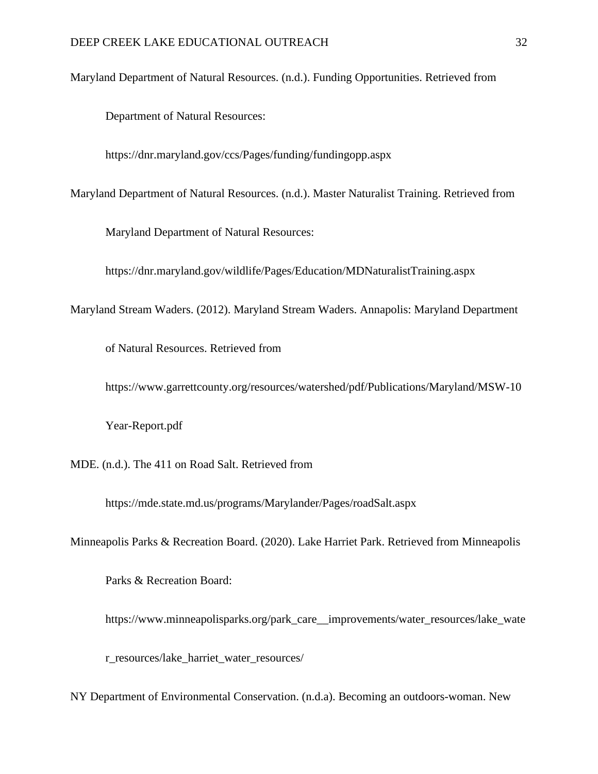Maryland Department of Natural Resources. (n.d.). Funding Opportunities. Retrieved from

Department of Natural Resources:

https://dnr.maryland.gov/ccs/Pages/funding/fundingopp.aspx

Maryland Department of Natural Resources. (n.d.). Master Naturalist Training. Retrieved from

Maryland Department of Natural Resources:

https://dnr.maryland.gov/wildlife/Pages/Education/MDNaturalistTraining.aspx

Maryland Stream Waders. (2012). Maryland Stream Waders. Annapolis: Maryland Department

of Natural Resources. Retrieved from

https://www.garrettcounty.org/resources/watershed/pdf/Publications/Maryland/MSW-10

Year-Report.pdf

MDE. (n.d.). The 411 on Road Salt. Retrieved from

https://mde.state.md.us/programs/Marylander/Pages/roadSalt.aspx

Minneapolis Parks & Recreation Board. (2020). Lake Harriet Park. Retrieved from Minneapolis

Parks & Recreation Board:

https://www.minneapolisparks.org/park\_care\_\_improvements/water\_resources/lake\_wate

r\_resources/lake\_harriet\_water\_resources/

NY Department of Environmental Conservation. (n.d.a). Becoming an outdoors-woman. New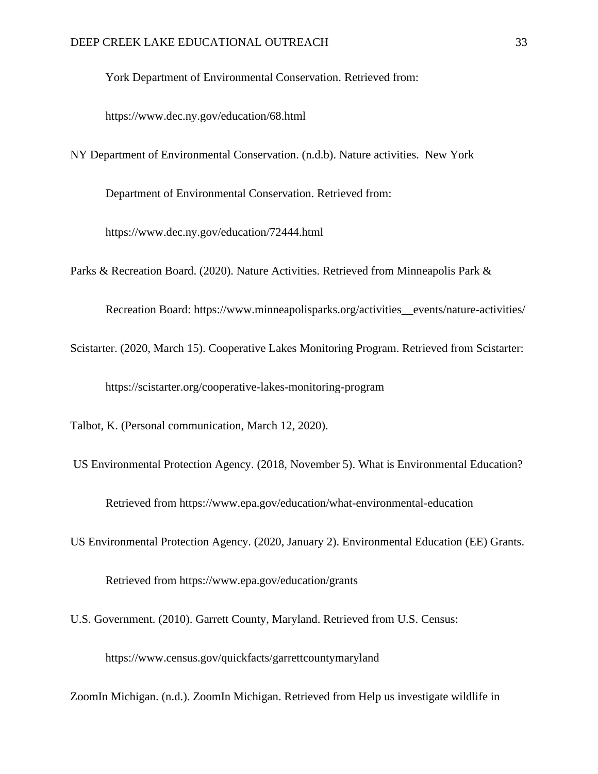York Department of Environmental Conservation. Retrieved from:

https://www.dec.ny.gov/education/68.html

NY Department of Environmental Conservation. (n.d.b). Nature activities. New York

Department of Environmental Conservation. Retrieved from:

https://www.dec.ny.gov/education/72444.html

Parks & Recreation Board. (2020). Nature Activities. Retrieved from Minneapolis Park &

Recreation Board: https://www.minneapolisparks.org/activities\_\_events/nature-activities/

Scistarter. (2020, March 15). Cooperative Lakes Monitoring Program. Retrieved from Scistarter:

https://scistarter.org/cooperative-lakes-monitoring-program

Talbot, K. (Personal communication, March 12, 2020).

- US Environmental Protection Agency. (2018, November 5). What is Environmental Education? Retrieved from https://www.epa.gov/education/what-environmental-education
- US Environmental Protection Agency. (2020, January 2). Environmental Education (EE) Grants. Retrieved from https://www.epa.gov/education/grants
- U.S. Government. (2010). Garrett County, Maryland. Retrieved from U.S. Census:

https://www.census.gov/quickfacts/garrettcountymaryland

ZoomIn Michigan. (n.d.). ZoomIn Michigan. Retrieved from Help us investigate wildlife in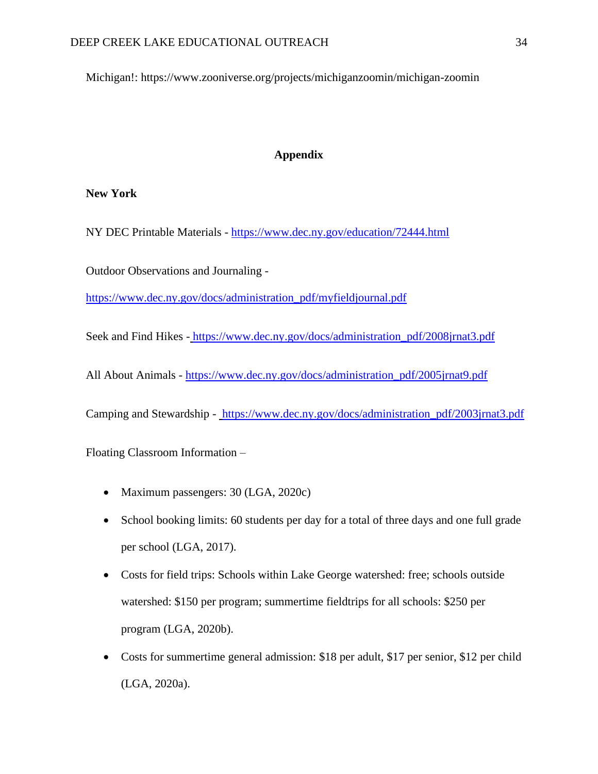Michigan!: https://www.zooniverse.org/projects/michiganzoomin/michigan-zoomin

## **Appendix**

# **New York**

NY DEC Printable Materials - https://www.dec.ny.gov/education/72444.html

Outdoor Observations and Journaling -

[https://www.dec.ny.gov/docs/administration\\_pdf/myfieldjournal.pdf](https://www.dec.ny.gov/docs/administration_pdf/myfieldjournal.pdf)

Seek and Find Hikes - [https://www.dec.ny.gov/docs/administration\\_pdf/2008jrnat3.pdf](https://www.dec.ny.gov/docs/administration_pdf/2008jrnat3.pdf)

All About Animals - [https://www.dec.ny.gov/docs/administration\\_pdf/2005jrnat9.pdf](https://www.dec.ny.gov/docs/administration_pdf/2005jrnat9.pdf)

Camping and Stewardship - [https://www.dec.ny.gov/docs/administration\\_pdf/2003jrnat3.pdf](https://www.dec.ny.gov/docs/administration_pdf/2003jrnat3.pdf)

Floating Classroom Information –

- Maximum passengers: 30 (LGA, 2020c)
- School booking limits: 60 students per day for a total of three days and one full grade per school (LGA, 2017).
- Costs for field trips: Schools within Lake George watershed: free; schools outside watershed: \$150 per program; summertime fieldtrips for all schools: \$250 per program (LGA, 2020b).
- Costs for summertime general admission: \$18 per adult, \$17 per senior, \$12 per child (LGA, 2020a).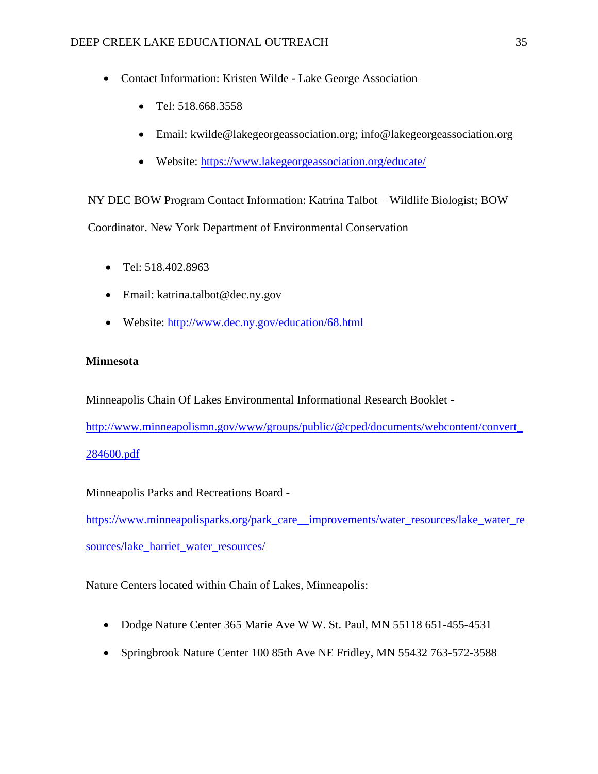- Contact Information: Kristen Wilde Lake George Association
	- Tel: 518.668.3558
	- Email: kwilde@lakegeorgeassociation.org; info@lakegeorgeassociation.org
	- Website: <https://www.lakegeorgeassociation.org/educate/>

NY DEC BOW Program Contact Information: Katrina Talbot – Wildlife Biologist; BOW Coordinator. New York Department of Environmental Conservation

- Tel: 518.402.8963
- Email: katrina.talbot@dec.ny.gov
- Website:<http://www.dec.ny.gov/education/68.html>

## **Minnesota**

Minneapolis Chain Of Lakes Environmental Informational Research Booklet -

[http://www.minneapolismn.gov/www/groups/public/@cped/documents/webcontent/convert\\_](http://www.minneapolismn.gov/www/groups/public/@cped/documents/webcontent/convert_284600.pdf) [284600.pdf](http://www.minneapolismn.gov/www/groups/public/@cped/documents/webcontent/convert_284600.pdf)

Minneapolis Parks and Recreations Board -

[https://www.minneapolisparks.org/park\\_care\\_\\_improvements/water\\_resources/lake\\_water\\_re](https://www.minneapolisparks.org/park_care__improvements/water_resources/lake_water_resources/lake_harriet_water_resources/) [sources/lake\\_harriet\\_water\\_resources/](https://www.minneapolisparks.org/park_care__improvements/water_resources/lake_water_resources/lake_harriet_water_resources/)

Nature Centers located within Chain of Lakes, Minneapolis:

- Dodge Nature Center 365 Marie Ave W W. St. Paul, MN 55118 651-455-4531
- Springbrook Nature Center 100 85th Ave NE Fridley, MN 55432 763-572-3588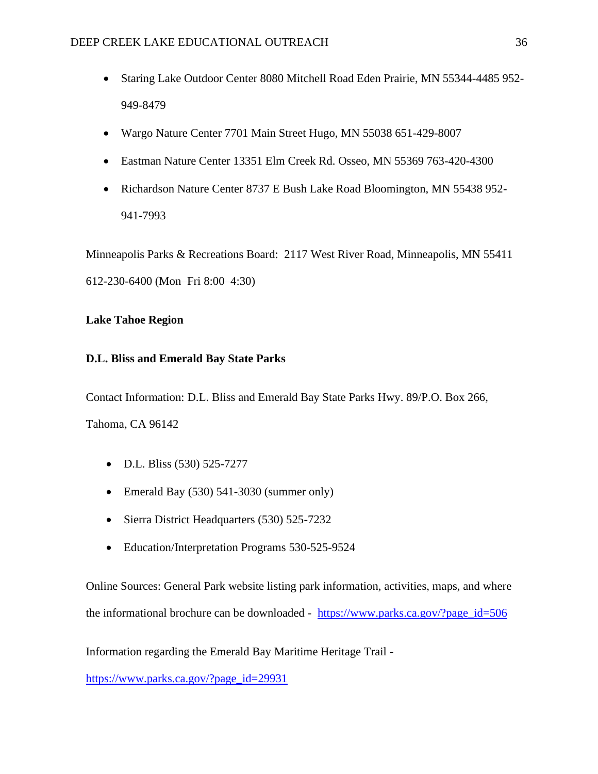- Staring Lake Outdoor Center 8080 Mitchell Road Eden Prairie, MN 55344-4485 952- 949-8479
- Wargo Nature Center 7701 Main Street Hugo, MN 55038 651-429-8007
- Eastman Nature Center 13351 Elm Creek Rd. Osseo, MN 55369 763-420-4300
- Richardson Nature Center 8737 E Bush Lake Road Bloomington, MN 55438 952- 941-7993

Minneapolis Parks & Recreations Board: 2117 West River Road, Minneapolis, MN 55411 612-230-6400 (Mon–Fri 8:00–4:30)

# **Lake Tahoe Region**

# **D.L. Bliss and Emerald Bay State Parks**

Contact Information: D.L. Bliss and Emerald Bay State Parks Hwy. 89/P.O. Box 266, Tahoma, CA 96142

- D.L. Bliss (530) 525-7277
- Emerald Bay (530) 541-3030 (summer only)
- Sierra District Headquarters (530) 525-7232
- Education/Interpretation Programs 530-525-9524

Online Sources: General Park website listing park information, activities, maps, and where the informational brochure can be downloaded - [https://www.parks.ca.gov/?page\\_id=506](https://www.parks.ca.gov/?page_id=506)

Information regarding the Emerald Bay Maritime Heritage Trail [-](file:///C:/Users/ashle/AppData/Local/Packages/Microsoft.MicrosoftEdge_8wekyb3d8bbwe/TempState/Downloads/)

[https://www.parks.ca.gov/?page\\_id=29931](https://www.parks.ca.gov/?page_id=29931)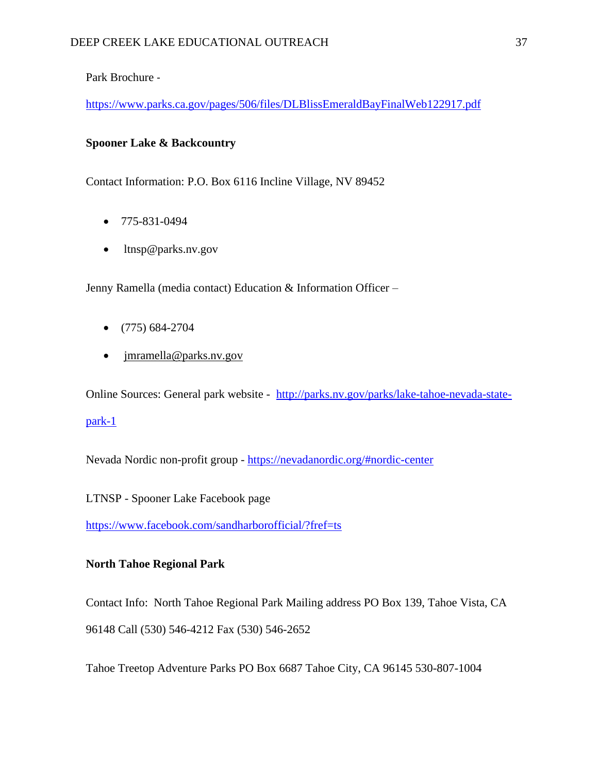Park Brochure -

<https://www.parks.ca.gov/pages/506/files/DLBlissEmeraldBayFinalWeb122917.pdf>

# **Spooner Lake & Backcountry**

Contact Information: P.O. Box 6116 Incline Village, NV 89452

- $775-831-0494$
- ltnsp@parks.nv.gov

Jenny Ramella (media contact) Education & Information Officer –

- $\bullet$  (775) 684-2704
- imramella@parks.nv.gov

Online Sources: General park website - [http://parks.nv.gov/parks/lake-tahoe-nevada-state](http://parks.nv.gov/parks/lake-tahoe-nevada-state-park-1)[park-1](http://parks.nv.gov/parks/lake-tahoe-nevada-state-park-1)

Nevada Nordic non-profit grou[p](https://nevadanordic.org/#nordic-center) - <https://nevadanordic.org/#nordic-center>

LTNSP - Spooner Lake Facebook pag[e](https://www.facebook.com/sandharborofficial/?fref=ts)

<https://www.facebook.com/sandharborofficial/?fref=ts>

# **North Tahoe Regional Park**

Contact Info: North Tahoe Regional Park Mailing address PO Box 139, Tahoe Vista, CA 96148 Call (530) 546-4212 Fax (530) 546-2652

Tahoe Treetop Adventure Parks PO Box 6687 Tahoe City, CA 96145 530-807-1004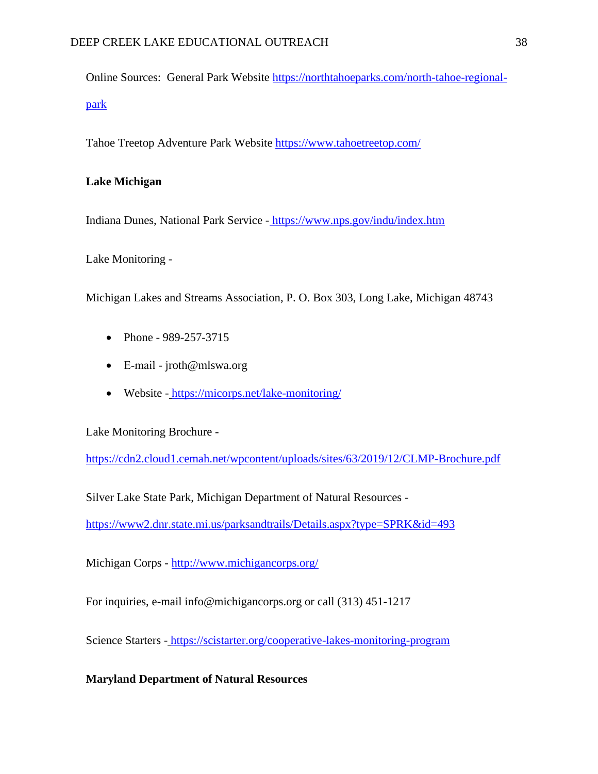Online Sources: General Park Website [https://northtahoeparks.com/north-tahoe-regional](https://northtahoeparks.com/north-tahoe-regional-park)[park](https://northtahoeparks.com/north-tahoe-regional-park)

Tahoe Treetop Adventure Park Website <https://www.tahoetreetop.com/>

# **Lake Michigan**

Indiana Dunes, National Park Service - <https://www.nps.gov/indu/index.htm>

Lake Monitoring -

Michigan Lakes and Streams Association, P. O. Box 303, Long Lake, Michigan 48743

- Phone 989-257-3715
- E‐mail jroth@mlswa.org
- Website <https://micorps.net/lake-monitoring/>

Lake Monitoring Brochure -

<https://cdn2.cloud1.cemah.net/wpcontent/uploads/sites/63/2019/12/CLMP-Brochure.pdf>

Silver Lake State Park, Michigan Department of Natural Resources -

<https://www2.dnr.state.mi.us/parksandtrails/Details.aspx?type=SPRK&id=493>

Michigan Corps [-](http://www.michigancorps.org/) <http://www.michigancorps.org/>

For inquiries, e-mail info@michigancorps.org or call (313) 451-1217

Science Starters - <https://scistarter.org/cooperative-lakes-monitoring-program>

**Maryland Department of Natural Resources**